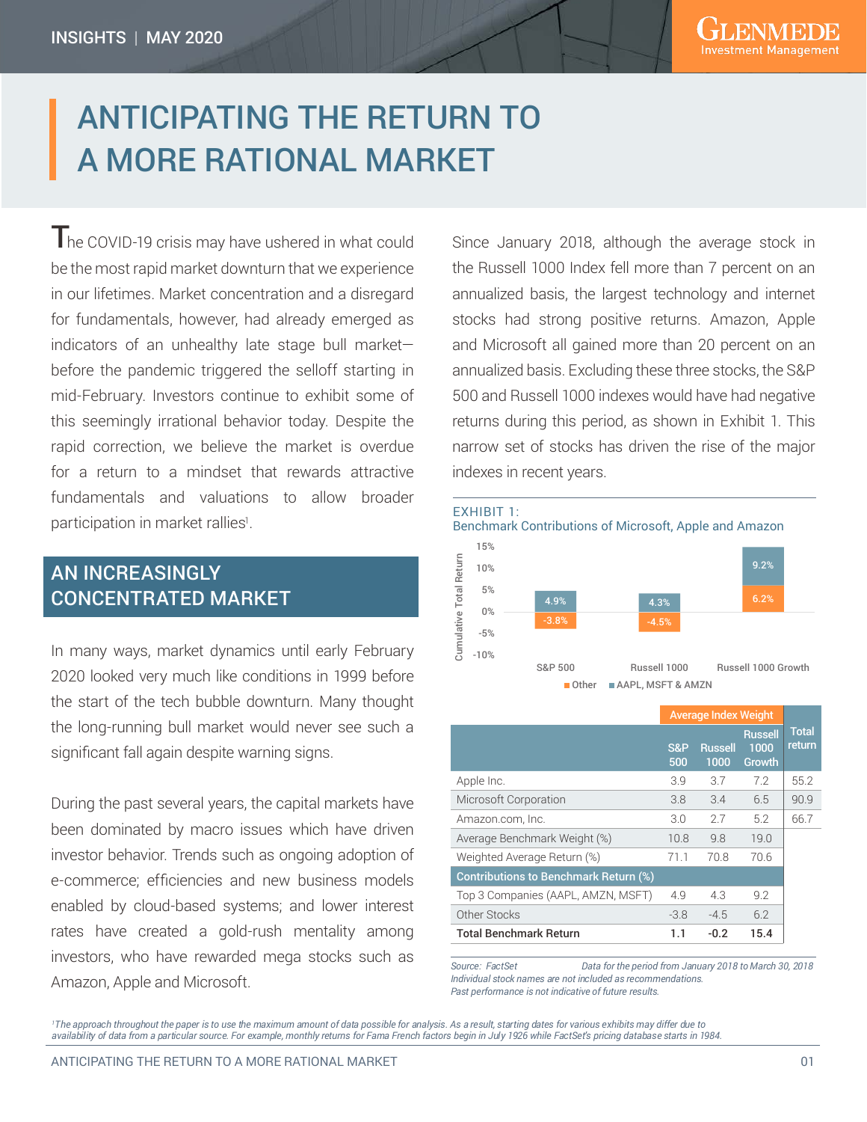# ANTICIPATING THE RETURN TO A MORE RATIONAL MARKET

The COVID-19 crisis may have ushered in what could be the most rapid market downturn that we experience in our lifetimes. Market concentration and a disregard for fundamentals, however, had already emerged as indicators of an unhealthy late stage bull market before the pandemic triggered the selloff starting in mid-February. Investors continue to exhibit some of this seemingly irrational behavior today. Despite the rapid correction, we believe the market is overdue for a return to a mindset that rewards attractive fundamentals and valuations to allow broader participation in market rallies<sup>1</sup>.

# AN INCREASINGLY CONCENTRATED MARKET

In many ways, market dynamics until early February 2020 looked very much like conditions in 1999 before the start of the tech bubble downturn. Many thought the long-running bull market would never see such a significant fall again despite warning signs.

During the past several years, the capital markets have been dominated by macro issues which have driven investor behavior. Trends such as ongoing adoption of e-commerce; efficiencies and new business models enabled by cloud-based systems; and lower interest rates have created a gold-rush mentality among investors, who have rewarded mega stocks such as Amazon, Apple and Microsoft.

Since January 2018, although the average stock in the Russell 1000 Index fell more than 7 percent on an annualized basis, the largest technology and internet stocks had strong positive returns. Amazon, Apple and Microsoft all gained more than 20 percent on an annualized basis. Excluding these three stocks, the S&P 500 and Russell 1000 indexes would have had negative returns during this period, as shown in Exhibit 1. This narrow set of stocks has driven the rise of the major indexes in recent years.



|                                              | <b>Average Index Weight</b> |                        |                                  |                        |
|----------------------------------------------|-----------------------------|------------------------|----------------------------------|------------------------|
|                                              | S&P<br>500                  | <b>Russell</b><br>1000 | <b>Russell</b><br>1000<br>Growth | <b>Total</b><br>return |
| Apple Inc.                                   | 3.9                         | 3.7                    | 7.2                              | 55.2                   |
| Microsoft Corporation                        | 3.8                         | 3.4                    | 6.5                              | 90.9                   |
| Amazon.com, Inc.                             | 3.0                         | 2.7                    | 5.2                              | 66.7                   |
| Average Benchmark Weight (%)                 | 10.8                        | 9.8                    | 19.0                             |                        |
| Weighted Average Return (%)                  | 71.1                        | 70.8                   | 70.6                             |                        |
| <b>Contributions to Benchmark Return (%)</b> |                             |                        |                                  |                        |
| Top 3 Companies (AAPL, AMZN, MSFT)           | 4.9                         | 4.3                    | 9.2                              |                        |
| Other Stocks                                 | $-3.8$                      | $-4.5$                 | 6.2                              |                        |
| <b>Total Benchmark Return</b>                | 1.1                         | $-0.2$                 | 15.4                             |                        |

*Source: FactSet Data for the period from January 2018 to March 30, 2018 Individual stock names are not included as recommendations.* 

*Past performance is not indicative of future results.*

<sup>1</sup>The approach throughout the paper is to use the maximum amount of data possible for analysis. As a result, starting dates for various exhibits may differ due to The approach throughout the paper is to use the maximum amount of data possible for an amount of data possible for analysis may differ an analysis may differ any different of  $\eta$  is a result of  $\eta$  is a result of  $\eta$  is *availability of data from a particular source. For example, monthly returns for Fama French factors begin in July 1926 while FactSet's pricing database starts in 1984.*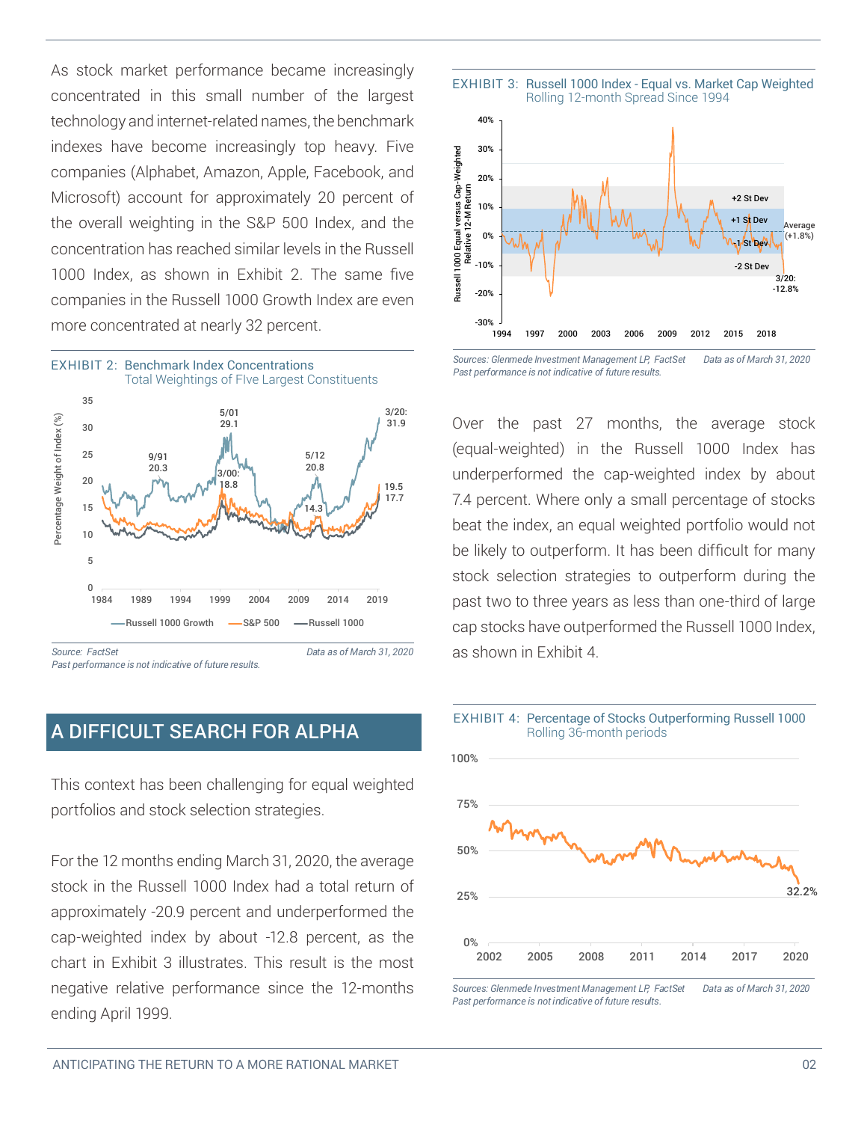As stock market performance became increasingly concentrated in this small number of the largest technology and internet-related names, the benchmark indexes have become increasingly top heavy. Five companies (Alphabet, Amazon, Apple, Facebook, and Microsoft) account for approximately 20 percent of the overall weighting in the S&P 500 Index, and the concentration has reached similar levels in the Russell 1000 Index, as shown in Exhibit 2. The same five companies in the Russell 1000 Growth Index are even more concentrated at nearly 32 percent.



## A DIFFICULT SEARCH FOR ALPHA

This context has been challenging for equal weighted portfolios and stock selection strategies.

For the 12 months ending March 31, 2020, the average stock in the Russell 1000 Index had a total return of approximately -20.9 percent and underperformed the cap-weighted index by about -12.8 percent, as the chart in Exhibit 3 illustrates. This result is the most negative relative performance since the 12-months ending April 1999.



*Sources: Glenmede Investment Management LP, FactSet Data as of March 31, 2020 Past performance is not indicative of future results.*

Over the past 27 months, the average stock (equal-weighted) in the Russell 1000 Index has underperformed the cap-weighted index by about 7.4 percent. Where only a small percentage of stocks beat the index, an equal weighted portfolio would not be likely to outperform. It has been difficult for many stock selection strategies to outperform during the past two to three years as less than one-third of large cap stocks have outperformed the Russell 1000 Index, as shown in Exhibit 4.



*Sources: Glenmede Investment Management LP, FactSet Data as of March 31, 2020 Past performance is not indicative of future results.*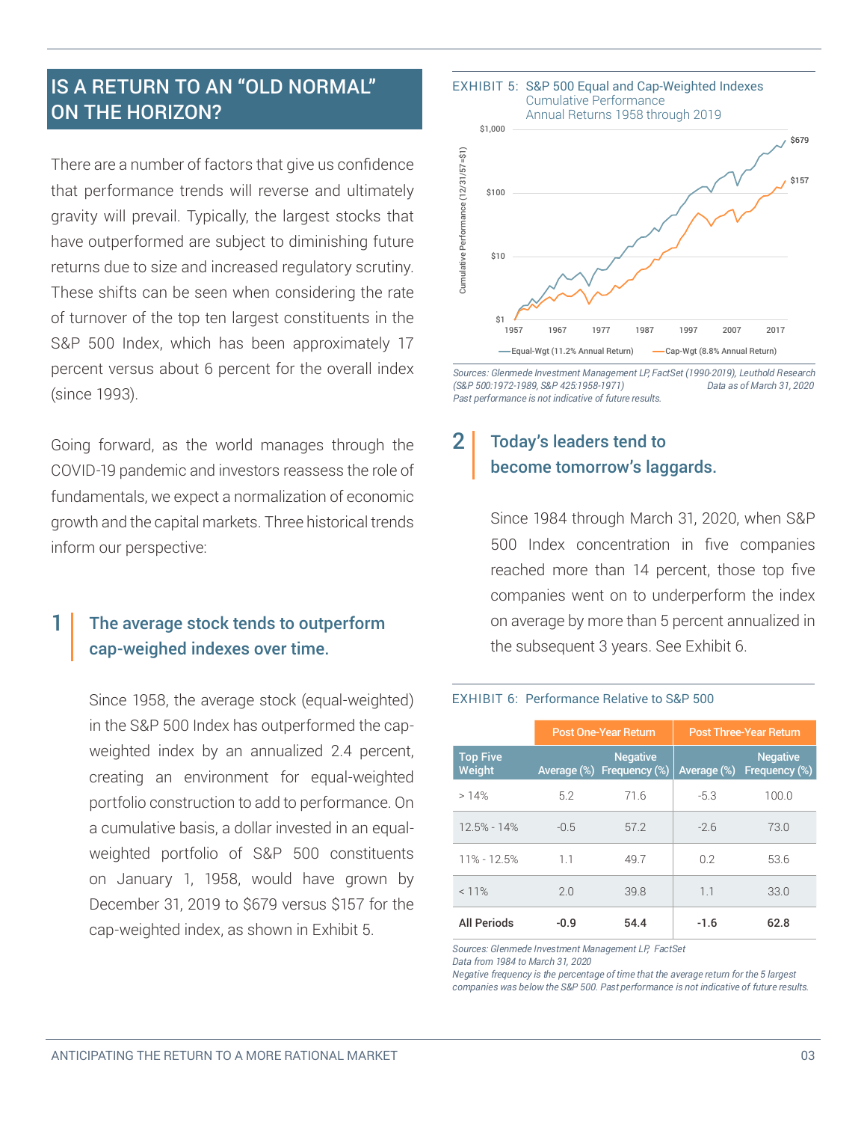# IS A RETURN TO AN "OLD NORMAL" ON THE HORIZON?

There are a number of factors that give us confidence that performance trends will reverse and ultimately gravity will prevail. Typically, the largest stocks that have outperformed are subject to diminishing future returns due to size and increased regulatory scrutiny. These shifts can be seen when considering the rate of turnover of the top ten largest constituents in the S&P 500 Index, which has been approximately 17 percent versus about 6 percent for the overall index (since 1993).

Going forward, as the world manages through the COVID-19 pandemic and investors reassess the role of fundamentals, we expect a normalization of economic growth and the capital markets. Three historical trends inform our perspective:

#### The average stock tends to outperform cap-weighed indexes over time. 1

Since 1958, the average stock (equal-weighted) in the S&P 500 Index has outperformed the capweighted index by an annualized 2.4 percent, creating an environment for equal-weighted portfolio construction to add to performance. On a cumulative basis, a dollar invested in an equalweighted portfolio of S&P 500 constituents on January 1, 1958, would have grown by December 31, 2019 to \$679 versus \$157 for the cap-weighted index, as shown in Exhibit 5.



*Sources: Glenmede Investment Management LP, FactSet (1990-2019), Leuthold Research (S&P 500:1972-1989, S&P 425:1958-1971) Data as of March 31, 2020 Past performance is not indicative of future results.*

## Today's leaders tend to become tomorrow's laggards. 2

EXHIBIT 6: Performance Relative to S&P 500

Since 1984 through March 31, 2020, when S&P 500 Index concentration in five companies reached more than 14 percent, those top five companies went on to underperform the index on average by more than 5 percent annualized in the subsequent 3 years. See Exhibit 6.

## Post One-Year Return | Post Three-Year Return **Top Five**<br>Weight Weight Average (%) Frequency (%) Average (%) **Negative Negative** Average (%) Frequency (% > 14% 5.2 71.6 -5.3 100.0  $12.5\% - 14\%$   $-0.5$  57.2  $-2.6$  73.0 11% - 12.5% 1.1 49.7 0.2 53.6 < 11% 2.0 39.8 1.1 33.0 All Periods -0.9 54.4 -1.6 62.8

*Sources: Glenmede Investment Management LP, FactSet* 

*Negative frequency is the percentage of time that the average return for the 5 largest Negative frequency is the percentage of time that the average return for the 5 largest companies was below the S&P 500. Past performance is not indicative of future results.*